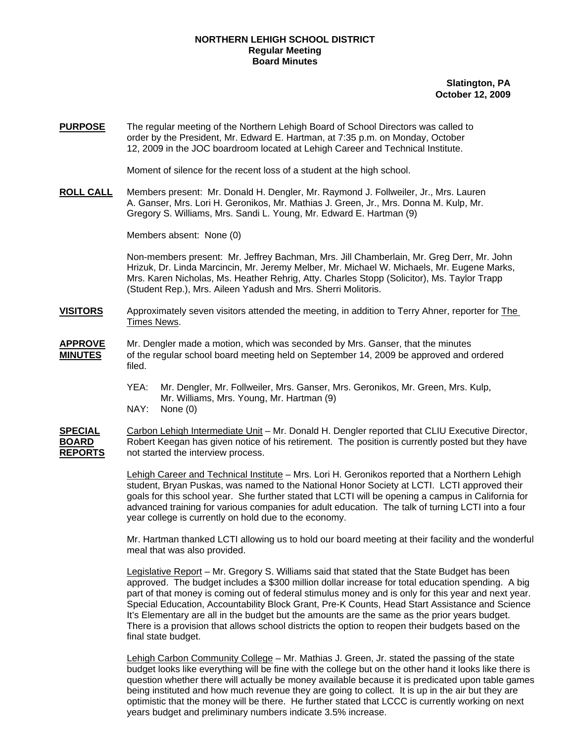## **NORTHERN LEHIGH SCHOOL DISTRICT Regular Meeting Board Minutes**

**Slatington, PA October 12, 2009**

**PURPOSE** The regular meeting of the Northern Lehigh Board of School Directors was called to order by the President, Mr. Edward E. Hartman, at 7:35 p.m. on Monday, October 12, 2009 in the JOC boardroom located at Lehigh Career and Technical Institute.

Moment of silence for the recent loss of a student at the high school.

**ROLL CALL** Members present: Mr. Donald H. Dengler, Mr. Raymond J. Follweiler, Jr., Mrs. Lauren A. Ganser, Mrs. Lori H. Geronikos, Mr. Mathias J. Green, Jr., Mrs. Donna M. Kulp, Mr. Gregory S. Williams, Mrs. Sandi L. Young, Mr. Edward E. Hartman (9)

Members absent: None (0)

Non-members present: Mr. Jeffrey Bachman, Mrs. Jill Chamberlain, Mr. Greg Derr, Mr. John Hrizuk, Dr. Linda Marcincin, Mr. Jeremy Melber, Mr. Michael W. Michaels, Mr. Eugene Marks, Mrs. Karen Nicholas, Ms. Heather Rehrig, Atty. Charles Stopp (Solicitor), Ms. Taylor Trapp (Student Rep.), Mrs. Aileen Yadush and Mrs. Sherri Molitoris.

- **VISITORS** Approximately seven visitors attended the meeting, in addition to Terry Ahner, reporter for The Times News.
- **APPROVE** Mr. Dengler made a motion, which was seconded by Mrs. Ganser, that the minutes **MINUTES** of the regular school board meeting held on September 14, 2009 be approved and ordered filed.
	- YEA: Mr. Dengler, Mr. Follweiler, Mrs. Ganser, Mrs. Geronikos, Mr. Green, Mrs. Kulp, Mr. Williams, Mrs. Young, Mr. Hartman (9) NAY: None (0)

**SPECIAL** Carbon Lehigh Intermediate Unit – Mr. Donald H. Dengler reported that CLIU Executive Director, **BOARD** Robert Keegan has given notice of his retirement. The position is currently posted but they have **REPORTS** not started the interview process.

> Lehigh Career and Technical Institute – Mrs. Lori H. Geronikos reported that a Northern Lehigh student, Bryan Puskas, was named to the National Honor Society at LCTI. LCTI approved their goals for this school year. She further stated that LCTI will be opening a campus in California for advanced training for various companies for adult education. The talk of turning LCTI into a four year college is currently on hold due to the economy.

Mr. Hartman thanked LCTI allowing us to hold our board meeting at their facility and the wonderful meal that was also provided.

Legislative Report – Mr. Gregory S. Williams said that stated that the State Budget has been approved. The budget includes a \$300 million dollar increase for total education spending. A big part of that money is coming out of federal stimulus money and is only for this year and next year. Special Education, Accountability Block Grant, Pre-K Counts, Head Start Assistance and Science It's Elementary are all in the budget but the amounts are the same as the prior years budget. There is a provision that allows school districts the option to reopen their budgets based on the final state budget.

Lehigh Carbon Community College – Mr. Mathias J. Green, Jr. stated the passing of the state budget looks like everything will be fine with the college but on the other hand it looks like there is question whether there will actually be money available because it is predicated upon table games being instituted and how much revenue they are going to collect. It is up in the air but they are optimistic that the money will be there. He further stated that LCCC is currently working on next years budget and preliminary numbers indicate 3.5% increase.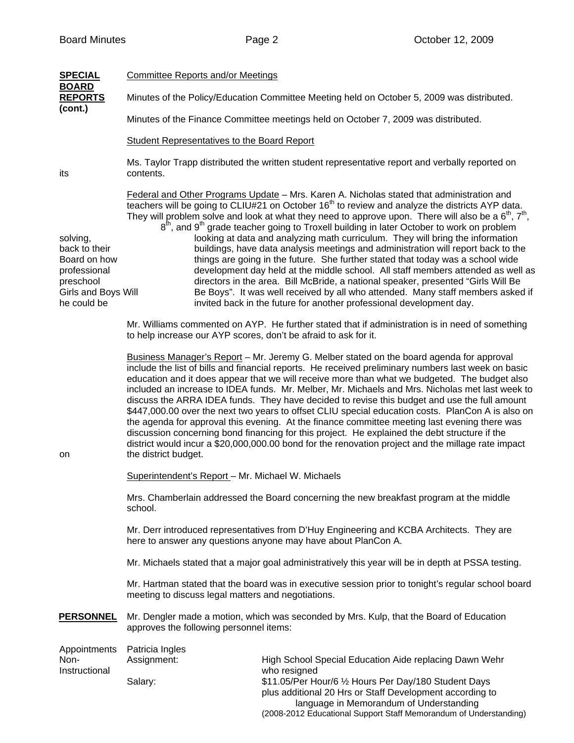| <b>SPECIAL</b>                                                                                               | <b>Committee Reports and/or Meetings</b>                                                                                                                                                                                                                                                                                                                                                                                                                                                                                                                                                                                                                                                                                                                                                                                                                                                                                                 |                                                                                                                                                                                                                                                                                                                                                                                                                                                                                                                                                                                                                                                                                                                                                                                                                                                                                                                                                                                                                     |  |  |
|--------------------------------------------------------------------------------------------------------------|------------------------------------------------------------------------------------------------------------------------------------------------------------------------------------------------------------------------------------------------------------------------------------------------------------------------------------------------------------------------------------------------------------------------------------------------------------------------------------------------------------------------------------------------------------------------------------------------------------------------------------------------------------------------------------------------------------------------------------------------------------------------------------------------------------------------------------------------------------------------------------------------------------------------------------------|---------------------------------------------------------------------------------------------------------------------------------------------------------------------------------------------------------------------------------------------------------------------------------------------------------------------------------------------------------------------------------------------------------------------------------------------------------------------------------------------------------------------------------------------------------------------------------------------------------------------------------------------------------------------------------------------------------------------------------------------------------------------------------------------------------------------------------------------------------------------------------------------------------------------------------------------------------------------------------------------------------------------|--|--|
| <b>BOARD</b><br><b>REPORTS</b><br>(cont.)                                                                    | Minutes of the Policy/Education Committee Meeting held on October 5, 2009 was distributed.                                                                                                                                                                                                                                                                                                                                                                                                                                                                                                                                                                                                                                                                                                                                                                                                                                               |                                                                                                                                                                                                                                                                                                                                                                                                                                                                                                                                                                                                                                                                                                                                                                                                                                                                                                                                                                                                                     |  |  |
|                                                                                                              | Minutes of the Finance Committee meetings held on October 7, 2009 was distributed.                                                                                                                                                                                                                                                                                                                                                                                                                                                                                                                                                                                                                                                                                                                                                                                                                                                       |                                                                                                                                                                                                                                                                                                                                                                                                                                                                                                                                                                                                                                                                                                                                                                                                                                                                                                                                                                                                                     |  |  |
|                                                                                                              | Student Representatives to the Board Report                                                                                                                                                                                                                                                                                                                                                                                                                                                                                                                                                                                                                                                                                                                                                                                                                                                                                              |                                                                                                                                                                                                                                                                                                                                                                                                                                                                                                                                                                                                                                                                                                                                                                                                                                                                                                                                                                                                                     |  |  |
| its                                                                                                          | Ms. Taylor Trapp distributed the written student representative report and verbally reported on<br>contents.                                                                                                                                                                                                                                                                                                                                                                                                                                                                                                                                                                                                                                                                                                                                                                                                                             |                                                                                                                                                                                                                                                                                                                                                                                                                                                                                                                                                                                                                                                                                                                                                                                                                                                                                                                                                                                                                     |  |  |
| solving,<br>back to their<br>Board on how<br>professional<br>preschool<br>Girls and Boys Will<br>he could be |                                                                                                                                                                                                                                                                                                                                                                                                                                                                                                                                                                                                                                                                                                                                                                                                                                                                                                                                          | Federal and Other Programs Update - Mrs. Karen A. Nicholas stated that administration and<br>teachers will be going to CLIU#21 on October 16 <sup>th</sup> to review and analyze the districts AYP data.<br>They will problem solve and look at what they need to approve upon. There will also be a $6th$ , $7th$ ,<br>$8th$ , and $9th$ grade teacher going to Troxell building in later October to work on problem<br>looking at data and analyzing math curriculum. They will bring the information<br>buildings, have data analysis meetings and administration will report back to the<br>things are going in the future. She further stated that today was a school wide<br>development day held at the middle school. All staff members attended as well as<br>directors in the area. Bill McBride, a national speaker, presented "Girls Will Be<br>Be Boys". It was well received by all who attended. Many staff members asked if<br>invited back in the future for another professional development day. |  |  |
|                                                                                                              | to help increase our AYP scores, don't be afraid to ask for it.                                                                                                                                                                                                                                                                                                                                                                                                                                                                                                                                                                                                                                                                                                                                                                                                                                                                          | Mr. Williams commented on AYP. He further stated that if administration is in need of something                                                                                                                                                                                                                                                                                                                                                                                                                                                                                                                                                                                                                                                                                                                                                                                                                                                                                                                     |  |  |
| on                                                                                                           | Business Manager's Report - Mr. Jeremy G. Melber stated on the board agenda for approval<br>include the list of bills and financial reports. He received preliminary numbers last week on basic<br>education and it does appear that we will receive more than what we budgeted. The budget also<br>included an increase to IDEA funds. Mr. Melber, Mr. Michaels and Mrs. Nicholas met last week to<br>discuss the ARRA IDEA funds. They have decided to revise this budget and use the full amount<br>\$447,000.00 over the next two years to offset CLIU special education costs. PlanCon A is also on<br>the agenda for approval this evening. At the finance committee meeting last evening there was<br>discussion concerning bond financing for this project. He explained the debt structure if the<br>district would incur a \$20,000,000.00 bond for the renovation project and the millage rate impact<br>the district budget. |                                                                                                                                                                                                                                                                                                                                                                                                                                                                                                                                                                                                                                                                                                                                                                                                                                                                                                                                                                                                                     |  |  |
|                                                                                                              | Superintendent's Report - Mr. Michael W. Michaels                                                                                                                                                                                                                                                                                                                                                                                                                                                                                                                                                                                                                                                                                                                                                                                                                                                                                        |                                                                                                                                                                                                                                                                                                                                                                                                                                                                                                                                                                                                                                                                                                                                                                                                                                                                                                                                                                                                                     |  |  |
|                                                                                                              | Mrs. Chamberlain addressed the Board concerning the new breakfast program at the middle<br>school.                                                                                                                                                                                                                                                                                                                                                                                                                                                                                                                                                                                                                                                                                                                                                                                                                                       |                                                                                                                                                                                                                                                                                                                                                                                                                                                                                                                                                                                                                                                                                                                                                                                                                                                                                                                                                                                                                     |  |  |
|                                                                                                              | Mr. Derr introduced representatives from D'Huy Engineering and KCBA Architects. They are<br>here to answer any questions anyone may have about PlanCon A.                                                                                                                                                                                                                                                                                                                                                                                                                                                                                                                                                                                                                                                                                                                                                                                |                                                                                                                                                                                                                                                                                                                                                                                                                                                                                                                                                                                                                                                                                                                                                                                                                                                                                                                                                                                                                     |  |  |
|                                                                                                              | Mr. Michaels stated that a major goal administratively this year will be in depth at PSSA testing.                                                                                                                                                                                                                                                                                                                                                                                                                                                                                                                                                                                                                                                                                                                                                                                                                                       |                                                                                                                                                                                                                                                                                                                                                                                                                                                                                                                                                                                                                                                                                                                                                                                                                                                                                                                                                                                                                     |  |  |
|                                                                                                              | Mr. Hartman stated that the board was in executive session prior to tonight's regular school board<br>meeting to discuss legal matters and negotiations.                                                                                                                                                                                                                                                                                                                                                                                                                                                                                                                                                                                                                                                                                                                                                                                 |                                                                                                                                                                                                                                                                                                                                                                                                                                                                                                                                                                                                                                                                                                                                                                                                                                                                                                                                                                                                                     |  |  |
| <b>PERSONNEL</b>                                                                                             | Mr. Dengler made a motion, which was seconded by Mrs. Kulp, that the Board of Education<br>approves the following personnel items:                                                                                                                                                                                                                                                                                                                                                                                                                                                                                                                                                                                                                                                                                                                                                                                                       |                                                                                                                                                                                                                                                                                                                                                                                                                                                                                                                                                                                                                                                                                                                                                                                                                                                                                                                                                                                                                     |  |  |
| Appointments<br>Non-<br>Instructional                                                                        | Patricia Ingles<br>Assignment:<br>Salary:                                                                                                                                                                                                                                                                                                                                                                                                                                                                                                                                                                                                                                                                                                                                                                                                                                                                                                | High School Special Education Aide replacing Dawn Wehr<br>who resigned<br>\$11.05/Per Hour/6 1/2 Hours Per Day/180 Student Days<br>plus additional 20 Hrs or Staff Development according to                                                                                                                                                                                                                                                                                                                                                                                                                                                                                                                                                                                                                                                                                                                                                                                                                         |  |  |
|                                                                                                              |                                                                                                                                                                                                                                                                                                                                                                                                                                                                                                                                                                                                                                                                                                                                                                                                                                                                                                                                          | language in Memorandum of Understanding                                                                                                                                                                                                                                                                                                                                                                                                                                                                                                                                                                                                                                                                                                                                                                                                                                                                                                                                                                             |  |  |

(2008-2012 Educational Support Staff Memorandum of Understanding)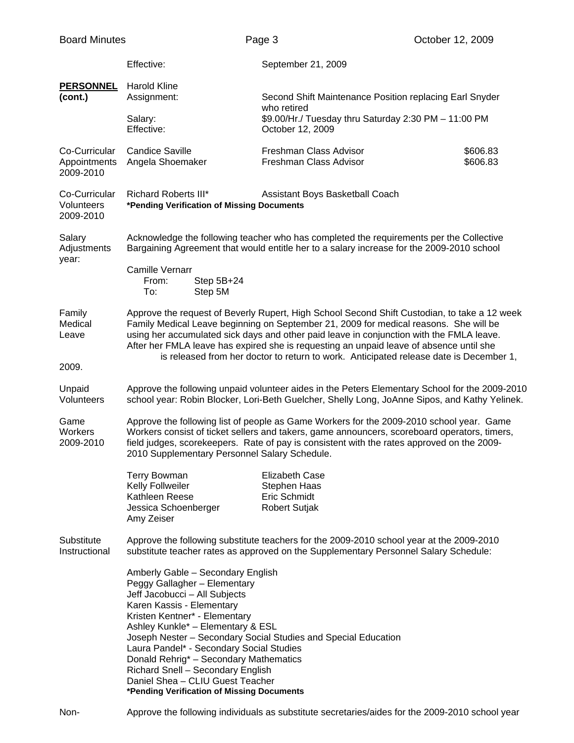|                                            | Effective:                                                                                                                                                                                                                                                                                                                                                                                                                                                             | September 21, 2009                                                                      |                      |  |  |
|--------------------------------------------|------------------------------------------------------------------------------------------------------------------------------------------------------------------------------------------------------------------------------------------------------------------------------------------------------------------------------------------------------------------------------------------------------------------------------------------------------------------------|-----------------------------------------------------------------------------------------|----------------------|--|--|
| <b>PERSONNEL</b><br>(cont.)                | <b>Harold Kline</b><br>Assignment:                                                                                                                                                                                                                                                                                                                                                                                                                                     | Second Shift Maintenance Position replacing Earl Snyder                                 |                      |  |  |
|                                            | Salary:<br>Effective:                                                                                                                                                                                                                                                                                                                                                                                                                                                  | who retired<br>\$9.00/Hr./ Tuesday thru Saturday 2:30 PM - 11:00 PM<br>October 12, 2009 |                      |  |  |
| Co-Curricular<br>Appointments<br>2009-2010 | <b>Candice Saville</b><br>Angela Shoemaker                                                                                                                                                                                                                                                                                                                                                                                                                             | Freshman Class Advisor<br>Freshman Class Advisor                                        | \$606.83<br>\$606.83 |  |  |
| Co-Curricular<br>Volunteers<br>2009-2010   | <b>Richard Roberts III*</b>                                                                                                                                                                                                                                                                                                                                                                                                                                            | Assistant Boys Basketball Coach<br>*Pending Verification of Missing Documents           |                      |  |  |
| Salary<br>Adjustments<br>year:             | Acknowledge the following teacher who has completed the requirements per the Collective<br>Bargaining Agreement that would entitle her to a salary increase for the 2009-2010 school                                                                                                                                                                                                                                                                                   |                                                                                         |                      |  |  |
|                                            | <b>Camille Vernarr</b><br>Step 5B+24<br>From:<br>Step 5M<br>To:                                                                                                                                                                                                                                                                                                                                                                                                        |                                                                                         |                      |  |  |
| Family<br>Medical<br>Leave                 | Approve the request of Beverly Rupert, High School Second Shift Custodian, to take a 12 week<br>Family Medical Leave beginning on September 21, 2009 for medical reasons. She will be<br>using her accumulated sick days and other paid leave in conjunction with the FMLA leave.<br>After her FMLA leave has expired she is requesting an unpaid leave of absence until she<br>is released from her doctor to return to work. Anticipated release date is December 1, |                                                                                         |                      |  |  |
| 2009.                                      |                                                                                                                                                                                                                                                                                                                                                                                                                                                                        |                                                                                         |                      |  |  |
| Unpaid<br>Volunteers                       | Approve the following unpaid volunteer aides in the Peters Elementary School for the 2009-2010<br>school year: Robin Blocker, Lori-Beth Guelcher, Shelly Long, JoAnne Sipos, and Kathy Yelinek.                                                                                                                                                                                                                                                                        |                                                                                         |                      |  |  |
| Game<br>Workers<br>2009-2010               | Approve the following list of people as Game Workers for the 2009-2010 school year. Game<br>Workers consist of ticket sellers and takers, game announcers, scoreboard operators, timers,<br>field judges, scorekeepers. Rate of pay is consistent with the rates approved on the 2009-<br>2010 Supplementary Personnel Salary Schedule.                                                                                                                                |                                                                                         |                      |  |  |
|                                            | Terry Bowman                                                                                                                                                                                                                                                                                                                                                                                                                                                           | <b>Elizabeth Case</b>                                                                   |                      |  |  |
|                                            | Kelly Follweiler                                                                                                                                                                                                                                                                                                                                                                                                                                                       | Stephen Haas                                                                            |                      |  |  |
|                                            | Kathleen Reese<br>Jessica Schoenberger<br>Amy Zeiser                                                                                                                                                                                                                                                                                                                                                                                                                   | Eric Schmidt<br><b>Robert Sutjak</b>                                                    |                      |  |  |
| Substitute<br>Instructional                | Approve the following substitute teachers for the 2009-2010 school year at the 2009-2010<br>substitute teacher rates as approved on the Supplementary Personnel Salary Schedule:                                                                                                                                                                                                                                                                                       |                                                                                         |                      |  |  |
|                                            | Amberly Gable - Secondary English<br>Peggy Gallagher - Elementary<br>Jeff Jacobucci - All Subjects<br>Karen Kassis - Elementary<br>Kristen Kentner* - Elementary<br>Ashley Kunkle* - Elementary & ESL<br>Laura Pandel* - Secondary Social Studies<br>Donald Rehrig* - Secondary Mathematics<br>Richard Snell - Secondary English<br>Daniel Shea - CLIU Guest Teacher<br>*Pending Verification of Missing Documents                                                     | Joseph Nester - Secondary Social Studies and Special Education                          |                      |  |  |

Non- Approve the following individuals as substitute secretaries/aides for the 2009-2010 school year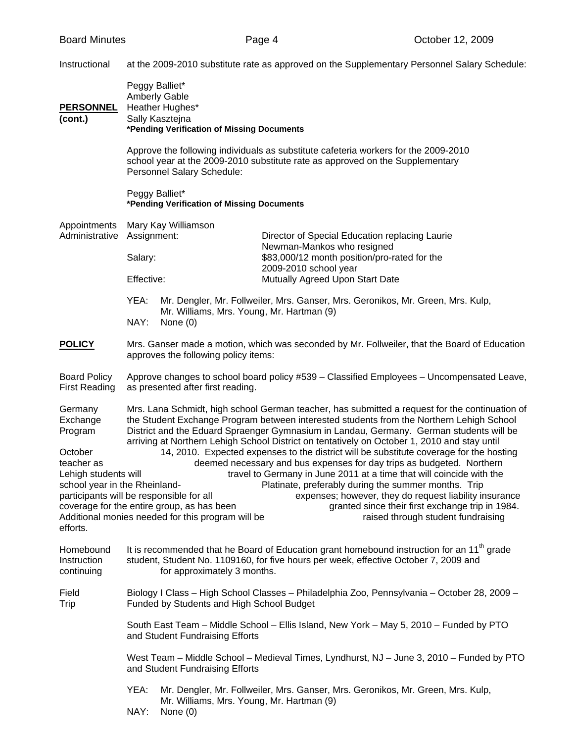Instructional at the 2009-2010 substitute rate as approved on the Supplementary Personnel Salary Schedule:

| <b>PERSONNEL</b><br>(cont.)                                                                                                                               | Peggy Balliet*<br><b>Amberly Gable</b><br>Heather Hughes*<br>Sally Kasztejna<br>*Pending Verification of Missing Documents                                                                                                                                                                                                                                                                                                                                                                                                                                                                                                                                                                                                                                                                                                                                                                                                                                                                                                    |                                                         |                                                                                                                                                                      |  |
|-----------------------------------------------------------------------------------------------------------------------------------------------------------|-------------------------------------------------------------------------------------------------------------------------------------------------------------------------------------------------------------------------------------------------------------------------------------------------------------------------------------------------------------------------------------------------------------------------------------------------------------------------------------------------------------------------------------------------------------------------------------------------------------------------------------------------------------------------------------------------------------------------------------------------------------------------------------------------------------------------------------------------------------------------------------------------------------------------------------------------------------------------------------------------------------------------------|---------------------------------------------------------|----------------------------------------------------------------------------------------------------------------------------------------------------------------------|--|
|                                                                                                                                                           |                                                                                                                                                                                                                                                                                                                                                                                                                                                                                                                                                                                                                                                                                                                                                                                                                                                                                                                                                                                                                               | Personnel Salary Schedule:                              | Approve the following individuals as substitute cafeteria workers for the 2009-2010<br>school year at the 2009-2010 substitute rate as approved on the Supplementary |  |
|                                                                                                                                                           | Peggy Balliet*                                                                                                                                                                                                                                                                                                                                                                                                                                                                                                                                                                                                                                                                                                                                                                                                                                                                                                                                                                                                                | *Pending Verification of Missing Documents              |                                                                                                                                                                      |  |
| Appointments<br>Administrative                                                                                                                            | Mary Kay Williamson<br>Assignment:                                                                                                                                                                                                                                                                                                                                                                                                                                                                                                                                                                                                                                                                                                                                                                                                                                                                                                                                                                                            |                                                         | Director of Special Education replacing Laurie                                                                                                                       |  |
|                                                                                                                                                           | Salary:                                                                                                                                                                                                                                                                                                                                                                                                                                                                                                                                                                                                                                                                                                                                                                                                                                                                                                                                                                                                                       |                                                         | Newman-Mankos who resigned<br>\$83,000/12 month position/pro-rated for the                                                                                           |  |
|                                                                                                                                                           | Effective:                                                                                                                                                                                                                                                                                                                                                                                                                                                                                                                                                                                                                                                                                                                                                                                                                                                                                                                                                                                                                    |                                                         | 2009-2010 school year<br>Mutually Agreed Upon Start Date                                                                                                             |  |
|                                                                                                                                                           | YEA:<br>NAY:                                                                                                                                                                                                                                                                                                                                                                                                                                                                                                                                                                                                                                                                                                                                                                                                                                                                                                                                                                                                                  | Mr. Williams, Mrs. Young, Mr. Hartman (9)<br>None $(0)$ | Mr. Dengler, Mr. Follweiler, Mrs. Ganser, Mrs. Geronikos, Mr. Green, Mrs. Kulp,                                                                                      |  |
| <b>POLICY</b>                                                                                                                                             | Mrs. Ganser made a motion, which was seconded by Mr. Follweiler, that the Board of Education<br>approves the following policy items:                                                                                                                                                                                                                                                                                                                                                                                                                                                                                                                                                                                                                                                                                                                                                                                                                                                                                          |                                                         |                                                                                                                                                                      |  |
| <b>Board Policy</b><br><b>First Reading</b>                                                                                                               | Approve changes to school board policy #539 - Classified Employees - Uncompensated Leave,<br>as presented after first reading.                                                                                                                                                                                                                                                                                                                                                                                                                                                                                                                                                                                                                                                                                                                                                                                                                                                                                                |                                                         |                                                                                                                                                                      |  |
| Germany<br>Exchange<br>Program<br>October<br>teacher as<br>Lehigh students will<br>efforts.                                                               | Mrs. Lana Schmidt, high school German teacher, has submitted a request for the continuation of<br>the Student Exchange Program between interested students from the Northern Lehigh School<br>District and the Eduard Spraenger Gymnasium in Landau, Germany. German students will be<br>arriving at Northern Lehigh School District on tentatively on October 1, 2010 and stay until<br>14, 2010. Expected expenses to the district will be substitute coverage for the hosting<br>deemed necessary and bus expenses for day trips as budgeted. Northern<br>travel to Germany in June 2011 at a time that will coincide with the<br>school year in the Rheinland-<br>Platinate, preferably during the summer months. Trip<br>participants will be responsible for all<br>expenses; however, they do request liability insurance<br>coverage for the entire group, as has been<br>granted since their first exchange trip in 1984.<br>Additional monies needed for this program will be<br>raised through student fundraising |                                                         |                                                                                                                                                                      |  |
| Homebound<br>Instruction<br>continuing                                                                                                                    | It is recommended that he Board of Education grant homebound instruction for an 11 <sup>th</sup> grade<br>student, Student No. 1109160, for five hours per week, effective October 7, 2009 and<br>for approximately 3 months.                                                                                                                                                                                                                                                                                                                                                                                                                                                                                                                                                                                                                                                                                                                                                                                                 |                                                         |                                                                                                                                                                      |  |
| Field<br>Biology I Class - High School Classes - Philadelphia Zoo, Pennsylvania - October 28, 2009 -<br>Trip<br>Funded by Students and High School Budget |                                                                                                                                                                                                                                                                                                                                                                                                                                                                                                                                                                                                                                                                                                                                                                                                                                                                                                                                                                                                                               |                                                         |                                                                                                                                                                      |  |
|                                                                                                                                                           |                                                                                                                                                                                                                                                                                                                                                                                                                                                                                                                                                                                                                                                                                                                                                                                                                                                                                                                                                                                                                               | and Student Fundraising Efforts                         | South East Team - Middle School - Ellis Island, New York - May 5, 2010 - Funded by PTO                                                                               |  |
| West Team – Middle School – Medieval Times, Lyndhurst, NJ – June 3, 2010 – Funded by PTO<br>and Student Fundraising Efforts                               |                                                                                                                                                                                                                                                                                                                                                                                                                                                                                                                                                                                                                                                                                                                                                                                                                                                                                                                                                                                                                               |                                                         |                                                                                                                                                                      |  |
|                                                                                                                                                           | YEA:<br>NAY:                                                                                                                                                                                                                                                                                                                                                                                                                                                                                                                                                                                                                                                                                                                                                                                                                                                                                                                                                                                                                  | Mr. Williams, Mrs. Young, Mr. Hartman (9)<br>None $(0)$ | Mr. Dengler, Mr. Follweiler, Mrs. Ganser, Mrs. Geronikos, Mr. Green, Mrs. Kulp,                                                                                      |  |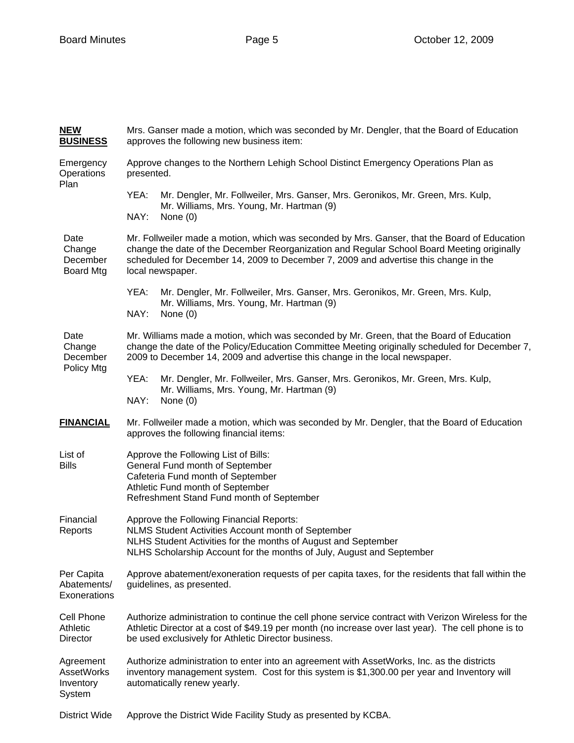| <b>NEW</b><br><b>BUSINESS</b>                         | Mrs. Ganser made a motion, which was seconded by Mr. Dengler, that the Board of Education<br>approves the following new business item:                                                                                                                                                                 |  |  |  |
|-------------------------------------------------------|--------------------------------------------------------------------------------------------------------------------------------------------------------------------------------------------------------------------------------------------------------------------------------------------------------|--|--|--|
| Emergency<br>Operations                               | Approve changes to the Northern Lehigh School Distinct Emergency Operations Plan as<br>presented.                                                                                                                                                                                                      |  |  |  |
| Plan                                                  | YEA:<br>Mr. Dengler, Mr. Follweiler, Mrs. Ganser, Mrs. Geronikos, Mr. Green, Mrs. Kulp,                                                                                                                                                                                                                |  |  |  |
|                                                       | Mr. Williams, Mrs. Young, Mr. Hartman (9)<br>NAY:<br>None $(0)$                                                                                                                                                                                                                                        |  |  |  |
| Date<br>Change<br>December<br><b>Board Mtg</b>        | Mr. Follweiler made a motion, which was seconded by Mrs. Ganser, that the Board of Education<br>change the date of the December Reorganization and Regular School Board Meeting originally<br>scheduled for December 14, 2009 to December 7, 2009 and advertise this change in the<br>local newspaper. |  |  |  |
|                                                       | YEA:<br>Mr. Dengler, Mr. Follweiler, Mrs. Ganser, Mrs. Geronikos, Mr. Green, Mrs. Kulp,                                                                                                                                                                                                                |  |  |  |
|                                                       | Mr. Williams, Mrs. Young, Mr. Hartman (9)<br>NAY:<br>None $(0)$                                                                                                                                                                                                                                        |  |  |  |
| Date<br>Change<br>December                            | Mr. Williams made a motion, which was seconded by Mr. Green, that the Board of Education<br>change the date of the Policy/Education Committee Meeting originally scheduled for December 7,<br>2009 to December 14, 2009 and advertise this change in the local newspaper.                              |  |  |  |
| Policy Mtg                                            | Mr. Dengler, Mr. Follweiler, Mrs. Ganser, Mrs. Geronikos, Mr. Green, Mrs. Kulp,<br>YEA:                                                                                                                                                                                                                |  |  |  |
|                                                       | Mr. Williams, Mrs. Young, Mr. Hartman (9)<br>NAY:<br>None (0)                                                                                                                                                                                                                                          |  |  |  |
| <b>FINANCIAL</b>                                      | Mr. Follweiler made a motion, which was seconded by Mr. Dengler, that the Board of Education<br>approves the following financial items:                                                                                                                                                                |  |  |  |
| List of<br><b>Bills</b>                               | Approve the Following List of Bills:<br>General Fund month of September<br>Cafeteria Fund month of September<br>Athletic Fund month of September<br>Refreshment Stand Fund month of September                                                                                                          |  |  |  |
| Financial<br>Reports                                  | Approve the Following Financial Reports:<br>NLMS Student Activities Account month of September<br>NLHS Student Activities for the months of August and September<br>NLHS Scholarship Account for the months of July, August and September                                                              |  |  |  |
| Per Capita<br>Abatements/<br>Exonerations             | Approve abatement/exoneration requests of per capita taxes, for the residents that fall within the<br>guidelines, as presented.                                                                                                                                                                        |  |  |  |
| Cell Phone<br>Athletic<br>Director                    | Authorize administration to continue the cell phone service contract with Verizon Wireless for the<br>Athletic Director at a cost of \$49.19 per month (no increase over last year). The cell phone is to<br>be used exclusively for Athletic Director business.                                       |  |  |  |
| Agreement<br><b>AssetWorks</b><br>Inventory<br>System | Authorize administration to enter into an agreement with AssetWorks, Inc. as the districts<br>inventory management system. Cost for this system is \$1,300.00 per year and Inventory will<br>automatically renew yearly.                                                                               |  |  |  |
| <b>District Wide</b>                                  | Approve the District Wide Facility Study as presented by KCBA.                                                                                                                                                                                                                                         |  |  |  |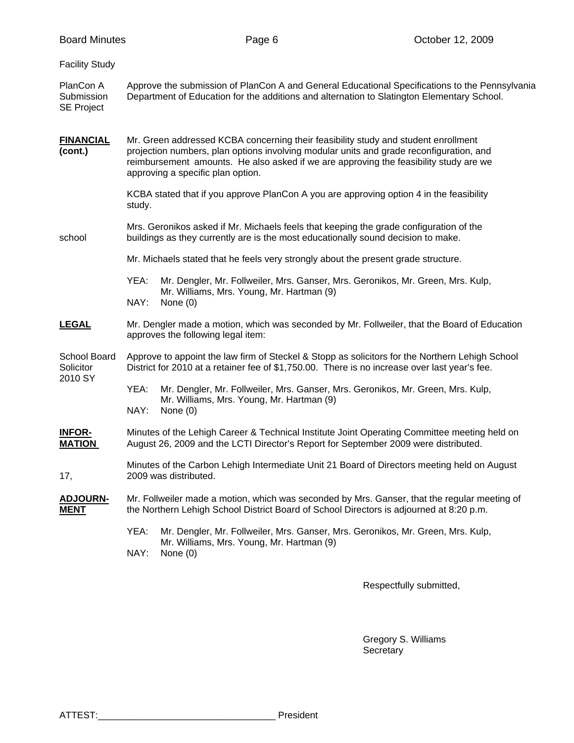| Approve the submission of PlanCon A and General Educational Specifications to the Pennsylvania<br>Department of Education for the additions and alternation to Slatington Elementary School.<br>Mr. Green addressed KCBA concerning their feasibility study and student enrollment<br>projection numbers, plan options involving modular units and grade reconfiguration, and<br>reimbursement amounts. He also asked if we are approving the feasibility study are we<br>approving a specific plan option.<br>KCBA stated that if you approve PlanCon A you are approving option 4 in the feasibility<br>study.<br>Mrs. Geronikos asked if Mr. Michaels feels that keeping the grade configuration of the<br>buildings as they currently are is the most educationally sound decision to make.<br>Mr. Michaels stated that he feels very strongly about the present grade structure.<br>YEA:<br>Mr. Dengler, Mr. Follweiler, Mrs. Ganser, Mrs. Geronikos, Mr. Green, Mrs. Kulp,<br>Mr. Williams, Mrs. Young, Mr. Hartman (9)<br>NAY:<br>None $(0)$<br>Mr. Dengler made a motion, which was seconded by Mr. Follweiler, that the Board of Education<br>approves the following legal item:<br>Approve to appoint the law firm of Steckel & Stopp as solicitors for the Northern Lehigh School<br>District for 2010 at a retainer fee of \$1,750.00. There is no increase over last year's fee.<br>YEA:<br>Mr. Dengler, Mr. Follweiler, Mrs. Ganser, Mrs. Geronikos, Mr. Green, Mrs. Kulp,<br>Mr. Williams, Mrs. Young, Mr. Hartman (9)<br>NAY:<br>None $(0)$<br>Minutes of the Lehigh Career & Technical Institute Joint Operating Committee meeting held on<br>August 26, 2009 and the LCTI Director's Report for September 2009 were distributed.<br>Minutes of the Carbon Lehigh Intermediate Unit 21 Board of Directors meeting held on August<br>2009 was distributed.<br>Mr. Follweiler made a motion, which was seconded by Mrs. Ganser, that the regular meeting of<br>the Northern Lehigh School District Board of School Directors is adjourned at 8:20 p.m.<br>YEA:<br>Mr. Dengler, Mr. Follweiler, Mrs. Ganser, Mrs. Geronikos, Mr. Green, Mrs. Kulp,<br>Mr. Williams, Mrs. Young, Mr. Hartman (9)<br>NAY:<br>None (0) | <b>Board Minutes</b>                         |  | Page 6 | October 12, 2009 |  |  |
|-----------------------------------------------------------------------------------------------------------------------------------------------------------------------------------------------------------------------------------------------------------------------------------------------------------------------------------------------------------------------------------------------------------------------------------------------------------------------------------------------------------------------------------------------------------------------------------------------------------------------------------------------------------------------------------------------------------------------------------------------------------------------------------------------------------------------------------------------------------------------------------------------------------------------------------------------------------------------------------------------------------------------------------------------------------------------------------------------------------------------------------------------------------------------------------------------------------------------------------------------------------------------------------------------------------------------------------------------------------------------------------------------------------------------------------------------------------------------------------------------------------------------------------------------------------------------------------------------------------------------------------------------------------------------------------------------------------------------------------------------------------------------------------------------------------------------------------------------------------------------------------------------------------------------------------------------------------------------------------------------------------------------------------------------------------------------------------------------------------------------------------------------------------------------------------------------------------------------------------|----------------------------------------------|--|--------|------------------|--|--|
|                                                                                                                                                                                                                                                                                                                                                                                                                                                                                                                                                                                                                                                                                                                                                                                                                                                                                                                                                                                                                                                                                                                                                                                                                                                                                                                                                                                                                                                                                                                                                                                                                                                                                                                                                                                                                                                                                                                                                                                                                                                                                                                                                                                                                                   | <b>Facility Study</b>                        |  |        |                  |  |  |
|                                                                                                                                                                                                                                                                                                                                                                                                                                                                                                                                                                                                                                                                                                                                                                                                                                                                                                                                                                                                                                                                                                                                                                                                                                                                                                                                                                                                                                                                                                                                                                                                                                                                                                                                                                                                                                                                                                                                                                                                                                                                                                                                                                                                                                   | PlanCon A<br>Submission<br><b>SE Project</b> |  |        |                  |  |  |
|                                                                                                                                                                                                                                                                                                                                                                                                                                                                                                                                                                                                                                                                                                                                                                                                                                                                                                                                                                                                                                                                                                                                                                                                                                                                                                                                                                                                                                                                                                                                                                                                                                                                                                                                                                                                                                                                                                                                                                                                                                                                                                                                                                                                                                   | <b>FINANCIAL</b><br>(cont.)                  |  |        |                  |  |  |
|                                                                                                                                                                                                                                                                                                                                                                                                                                                                                                                                                                                                                                                                                                                                                                                                                                                                                                                                                                                                                                                                                                                                                                                                                                                                                                                                                                                                                                                                                                                                                                                                                                                                                                                                                                                                                                                                                                                                                                                                                                                                                                                                                                                                                                   |                                              |  |        |                  |  |  |
|                                                                                                                                                                                                                                                                                                                                                                                                                                                                                                                                                                                                                                                                                                                                                                                                                                                                                                                                                                                                                                                                                                                                                                                                                                                                                                                                                                                                                                                                                                                                                                                                                                                                                                                                                                                                                                                                                                                                                                                                                                                                                                                                                                                                                                   | school                                       |  |        |                  |  |  |
|                                                                                                                                                                                                                                                                                                                                                                                                                                                                                                                                                                                                                                                                                                                                                                                                                                                                                                                                                                                                                                                                                                                                                                                                                                                                                                                                                                                                                                                                                                                                                                                                                                                                                                                                                                                                                                                                                                                                                                                                                                                                                                                                                                                                                                   |                                              |  |        |                  |  |  |
|                                                                                                                                                                                                                                                                                                                                                                                                                                                                                                                                                                                                                                                                                                                                                                                                                                                                                                                                                                                                                                                                                                                                                                                                                                                                                                                                                                                                                                                                                                                                                                                                                                                                                                                                                                                                                                                                                                                                                                                                                                                                                                                                                                                                                                   |                                              |  |        |                  |  |  |
|                                                                                                                                                                                                                                                                                                                                                                                                                                                                                                                                                                                                                                                                                                                                                                                                                                                                                                                                                                                                                                                                                                                                                                                                                                                                                                                                                                                                                                                                                                                                                                                                                                                                                                                                                                                                                                                                                                                                                                                                                                                                                                                                                                                                                                   | <b>LEGAL</b>                                 |  |        |                  |  |  |
|                                                                                                                                                                                                                                                                                                                                                                                                                                                                                                                                                                                                                                                                                                                                                                                                                                                                                                                                                                                                                                                                                                                                                                                                                                                                                                                                                                                                                                                                                                                                                                                                                                                                                                                                                                                                                                                                                                                                                                                                                                                                                                                                                                                                                                   | School Board<br>Solicitor<br>2010 SY         |  |        |                  |  |  |
|                                                                                                                                                                                                                                                                                                                                                                                                                                                                                                                                                                                                                                                                                                                                                                                                                                                                                                                                                                                                                                                                                                                                                                                                                                                                                                                                                                                                                                                                                                                                                                                                                                                                                                                                                                                                                                                                                                                                                                                                                                                                                                                                                                                                                                   |                                              |  |        |                  |  |  |
|                                                                                                                                                                                                                                                                                                                                                                                                                                                                                                                                                                                                                                                                                                                                                                                                                                                                                                                                                                                                                                                                                                                                                                                                                                                                                                                                                                                                                                                                                                                                                                                                                                                                                                                                                                                                                                                                                                                                                                                                                                                                                                                                                                                                                                   | <b>INFOR-</b><br><b>MATION</b>               |  |        |                  |  |  |
|                                                                                                                                                                                                                                                                                                                                                                                                                                                                                                                                                                                                                                                                                                                                                                                                                                                                                                                                                                                                                                                                                                                                                                                                                                                                                                                                                                                                                                                                                                                                                                                                                                                                                                                                                                                                                                                                                                                                                                                                                                                                                                                                                                                                                                   | 17,                                          |  |        |                  |  |  |
|                                                                                                                                                                                                                                                                                                                                                                                                                                                                                                                                                                                                                                                                                                                                                                                                                                                                                                                                                                                                                                                                                                                                                                                                                                                                                                                                                                                                                                                                                                                                                                                                                                                                                                                                                                                                                                                                                                                                                                                                                                                                                                                                                                                                                                   | <b>ADJOURN-</b><br><b>MENT</b>               |  |        |                  |  |  |
|                                                                                                                                                                                                                                                                                                                                                                                                                                                                                                                                                                                                                                                                                                                                                                                                                                                                                                                                                                                                                                                                                                                                                                                                                                                                                                                                                                                                                                                                                                                                                                                                                                                                                                                                                                                                                                                                                                                                                                                                                                                                                                                                                                                                                                   |                                              |  |        |                  |  |  |

Respectfully submitted,

 Gregory S. Williams Secretary and the contract of the contract of the Secretary Secretary